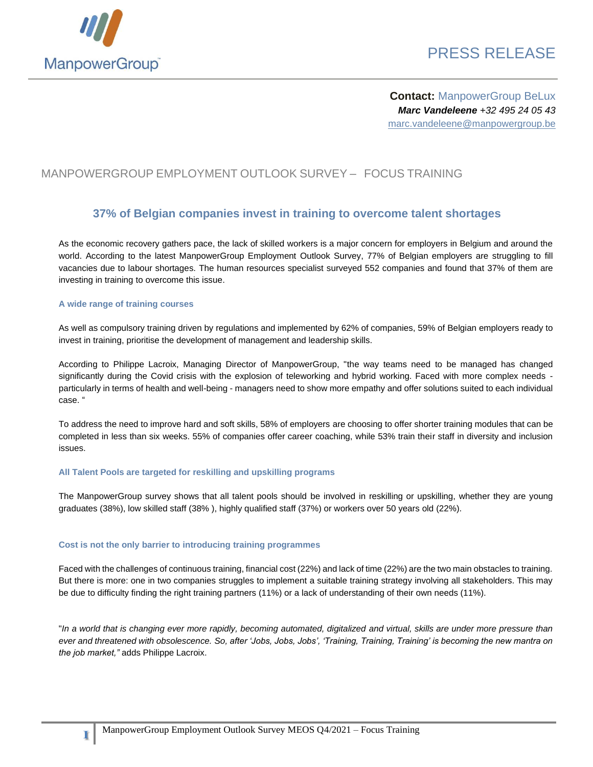

# PRESS RELEASE

**Contact:** ManpowerGroup BeLux *Marc Vandeleene +32 495 24 05 43* marc.vandeleene@manpowergroup.be

### MANPOWERGROUP EMPLOYMENT OUTLOOK SURVEY – FOCUS TRAINING

### **37% of Belgian companies invest in training to overcome talent shortages**

As the economic recovery gathers pace, the lack of skilled workers is a major concern for employers in Belgium and around the world. According to the latest ManpowerGroup Employment Outlook Survey, 77% of Belgian employers are struggling to fill vacancies due to labour shortages. The human resources specialist surveyed 552 companies and found that 37% of them are investing in training to overcome this issue.

#### **A wide range of training courses**

As well as compulsory training driven by regulations and implemented by 62% of companies, 59% of Belgian employers ready to invest in training, prioritise the development of management and leadership skills.

According to Philippe Lacroix, Managing Director of ManpowerGroup, "the way teams need to be managed has changed significantly during the Covid crisis with the explosion of teleworking and hybrid working. Faced with more complex needs particularly in terms of health and well-being - managers need to show more empathy and offer solutions suited to each individual case. "

To address the need to improve hard and soft skills, 58% of employers are choosing to offer shorter training modules that can be completed in less than six weeks. 55% of companies offer career coaching, while 53% train their staff in diversity and inclusion issues.

#### **All Talent Pools are targeted for reskilling and upskilling programs**

The ManpowerGroup survey shows that all talent pools should be involved in reskilling or upskilling, whether they are young graduates (38%), low skilled staff (38% ), highly qualified staff (37%) or workers over 50 years old (22%).

#### **Cost is not the only barrier to introducing training programmes**

Faced with the challenges of continuous training, financial cost (22%) and lack of time (22%) are the two main obstacles to training. But there is more: one in two companies struggles to implement a suitable training strategy involving all stakeholders. This may be due to difficulty finding the right training partners (11%) or a lack of understanding of their own needs (11%).

"*In a world that is changing ever more rapidly, becoming automated, digitalized and virtual, skills are under more pressure than ever and threatened with obsolescence. So, after 'Jobs, Jobs, Jobs', 'Training, Training, Training' is becoming the new mantra on the job market,"* adds Philippe Lacroix.

**1**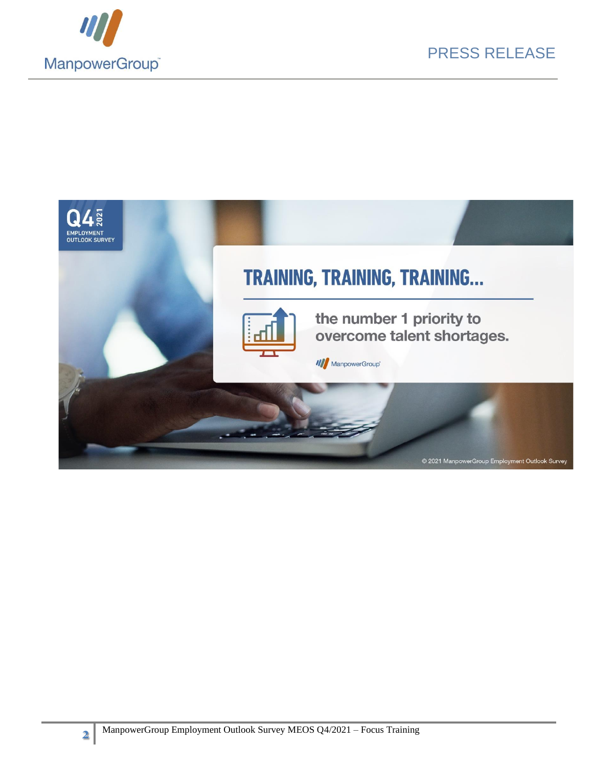



**2**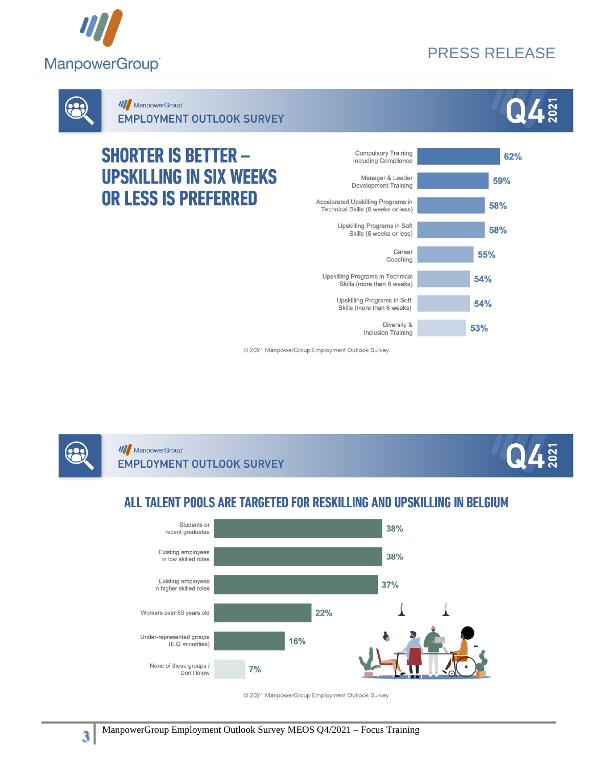

# PRESS RELEASE

 $\mathbf{Q}4$ 



**III** ManpowerGroup

**EMPLOYMENT OUTLOOK SURVEY** 

# **SHORTER IS BETTER -UPSKILLING IN SIX WEEKS** OR LESS IS PREFERRED



© 2021 ManpowerGroup Employment Outlook Survey



**III** ManpowerGroup **EMPLOYMENT OUTLOOK SURVEY** 



# ALL TALENT POOLS ARE TARGETED FOR RESKILLING AND UPSKILLING IN BELGIUM



© 2021 ManpowerGroup Employment Outlook Survey

**3**